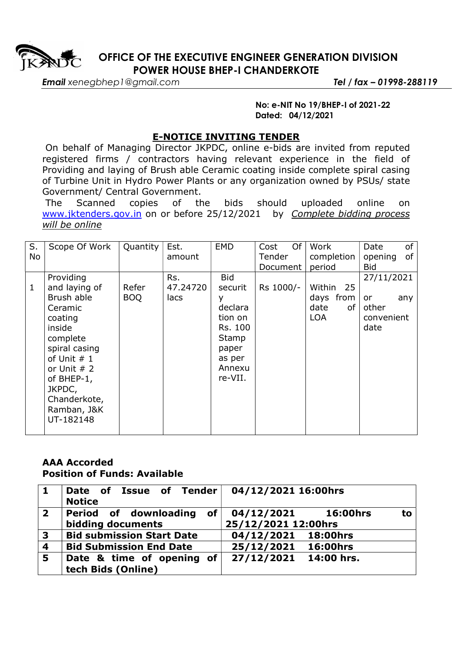

 OFFICE OF THE EXECUTIVE ENGINEER GENERATION DIVISION POWER HOUSE BHEP-I CHANDERKOTE

Email xenegbhep1@gmail.com Tel / fax - 01998-288119

## No: e-NIT No 19/BHEP-I of 2021-22 Dated: 04/12/2021

## E-NOTICE INVITING TENDER

 On behalf of Managing Director JKPDC, online e-bids are invited from reputed registered firms / contractors having relevant experience in the field of Providing and laying of Brush able Ceramic coating inside complete spiral casing of Turbine Unit in Hydro Power Plants or any organization owned by PSUs/ state Government/ Central Government.

 The Scanned copies of the bids should uploaded online on www.jktenders.gov.in on or before 25/12/2021 by Complete bidding process will be online

| S. | Scope Of Work | Quantity   | Est.     | <b>EMD</b> | Of<br>Cost | Work       | of<br>Date    |
|----|---------------|------------|----------|------------|------------|------------|---------------|
| No |               |            | amount   |            | Tender     | completion | of<br>opening |
|    |               |            |          |            | Document   | period     | <b>Bid</b>    |
|    | Providing     |            | Rs.      | <b>Bid</b> |            |            | 27/11/2021    |
| 1  | and laying of | Refer      | 47.24720 | securit    | Rs 1000/-  | Within 25  |               |
|    | Brush able    | <b>BOQ</b> | lacs     | у          |            | days from  | or<br>any     |
|    | Ceramic       |            |          | declara    |            | date<br>of | other         |
|    | coating       |            |          | tion on    |            | <b>LOA</b> | convenient    |
|    | inside        |            |          | Rs. 100    |            |            | date          |
|    | complete      |            |          | Stamp      |            |            |               |
|    | spiral casing |            |          | paper      |            |            |               |
|    | of Unit $# 1$ |            |          | as per     |            |            |               |
|    | or Unit $# 2$ |            |          | Annexu     |            |            |               |
|    | of BHEP-1,    |            |          | re-VII.    |            |            |               |
|    | JKPDC,        |            |          |            |            |            |               |
|    | Chanderkote,  |            |          |            |            |            |               |
|    | Ramban, J&K   |            |          |            |            |            |               |
|    | UT-182148     |            |          |            |            |            |               |
|    |               |            |          |            |            |            |               |

## AAA Accorded Position of Funds: Available

| $\mathbf 1$             | Date of Issue of Tender<br><b>Notice</b>                         | 04/12/2021 16:00hrs                                        |  |  |  |
|-------------------------|------------------------------------------------------------------|------------------------------------------------------------|--|--|--|
| $\overline{\mathbf{2}}$ | $\mathsf{of} \mid$<br>Period of downloading<br>bidding documents | 04/12/2021<br><b>16:00hrs</b><br>to<br>25/12/2021 12:00hrs |  |  |  |
| $\mathbf{3}$            | <b>Bid submission Start Date</b>                                 | 04/12/2021 18:00hrs                                        |  |  |  |
| $\overline{\mathbf{4}}$ | <b>Bid Submission End Date</b>                                   | 25/12/2021 16:00hrs                                        |  |  |  |
| 15                      | Date & time of opening of<br>tech Bids (Online)                  | 27/12/2021<br>14:00 hrs.                                   |  |  |  |